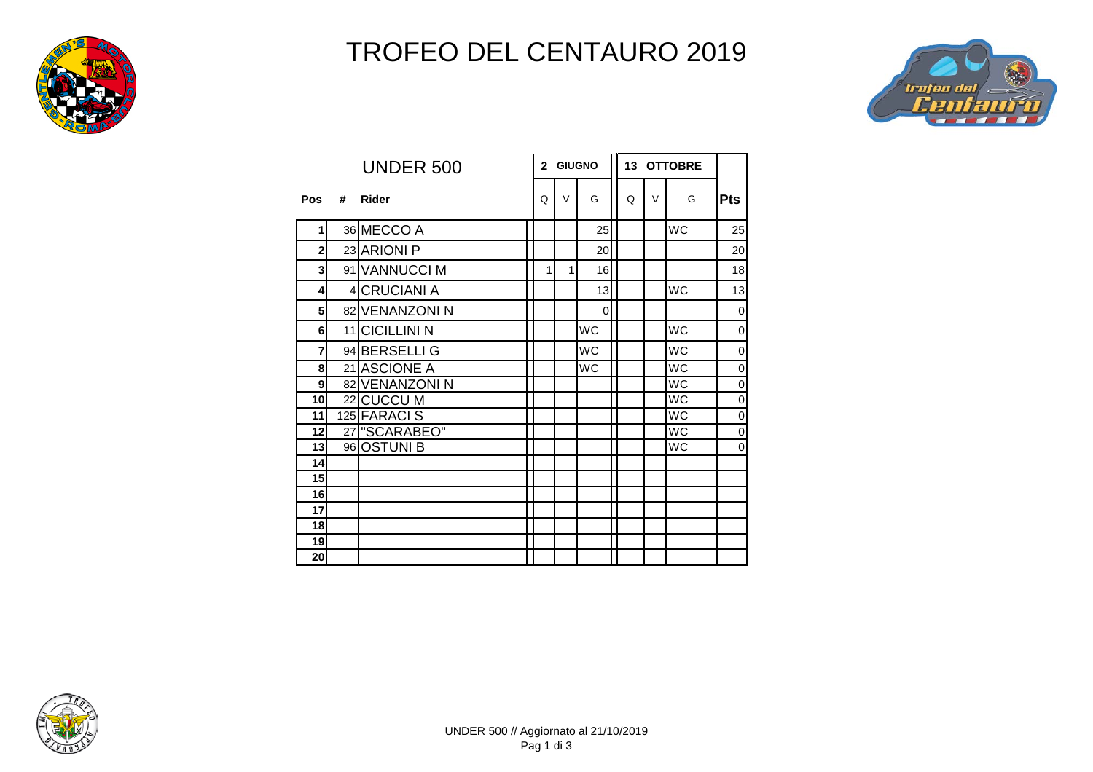

## TROFEO DEL CENTAURO 2019

7 F



|                         |   | <b>UNDER 500</b> | <b>GIUGNO</b><br>$\overline{2}$ |        |             | 13 OTTOBRE |        |           |                |
|-------------------------|---|------------------|---------------------------------|--------|-------------|------------|--------|-----------|----------------|
| Pos                     | # | <b>Rider</b>     | Q                               | $\vee$ | G           | Q          | $\vee$ | G         | <b>Pts</b>     |
| 1                       |   | 36 MECCO A       |                                 |        | 25          |            |        | <b>WC</b> | 25             |
| $\overline{2}$          |   | 23 ARIONI P      |                                 |        | 20          |            |        |           | 20             |
| $\overline{\mathbf{3}}$ |   | 91 VANNUCCI M    | 1                               | 1      | 16          |            |        |           | 18             |
| 4                       |   | 4 CRUCIANI A     |                                 |        | 13          |            |        | <b>WC</b> | 13             |
| 5 <sup>1</sup>          |   | 82 VENANZONI N   |                                 |        | $\mathbf 0$ |            |        |           | $\overline{0}$ |
| 6                       |   | 11 CICILLINI N   |                                 |        | WC          |            |        | <b>WC</b> | 0              |
| $\overline{7}$          |   | 94 BERSELLI G    |                                 |        | <b>WC</b>   |            |        | <b>WC</b> | 0              |
| 8                       |   | 21 ASCIONE A     |                                 |        | WC          |            |        | <b>WC</b> | 0              |
| $\mathbf{9}$            |   | 82 VENANZONIN    |                                 |        |             |            |        | <b>WC</b> | $\mathbf 0$    |
| 10                      |   | 22 CUCCU M       |                                 |        |             |            |        | <b>WC</b> | $\mathbf 0$    |
| 11                      |   | 125 FARACI S     |                                 |        |             |            |        | <b>WC</b> | 0              |
| 12                      |   | 27 SCARABEO"     |                                 |        |             |            |        | <b>WC</b> | $\mathbf 0$    |
| 13                      |   | 96 OSTUNI B      |                                 |        |             |            |        | <b>WC</b> | 0              |
| 14                      |   |                  |                                 |        |             |            |        |           |                |
| 15                      |   |                  |                                 |        |             |            |        |           |                |
| 16                      |   |                  |                                 |        |             |            |        |           |                |
| 17                      |   |                  |                                 |        |             |            |        |           |                |
| 18                      |   |                  |                                 |        |             |            |        |           |                |
| 19                      |   |                  |                                 |        |             |            |        |           |                |
| 20 <sub>l</sub>         |   |                  |                                 |        |             |            |        |           |                |

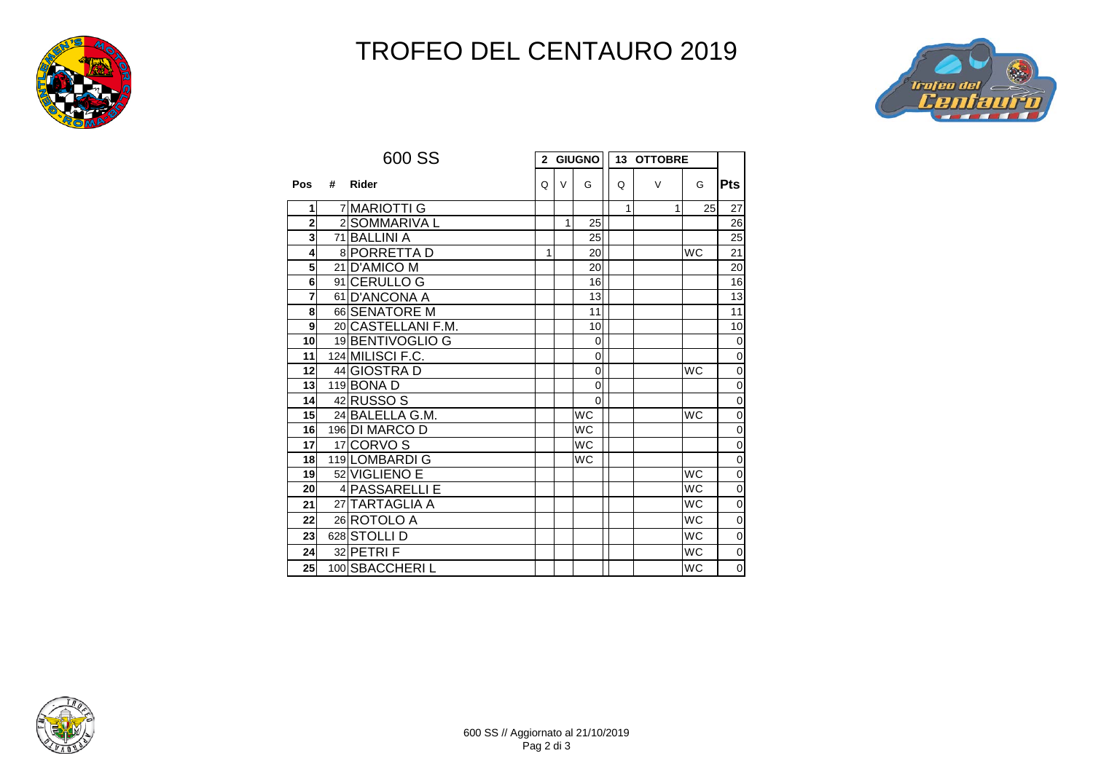

## TROFEO DEL CENTAURO 2019



|                         |   | 600 SS             |              | 2 GIUGNO |                | 13 OTTOBRE |        |           |                |
|-------------------------|---|--------------------|--------------|----------|----------------|------------|--------|-----------|----------------|
| Pos                     | # | Rider              | Q            | $\vee$   | G              | Q          | $\vee$ | G         | <b>Pts</b>     |
| 1                       |   | 7 MARIOTTI G       |              |          |                | 1          |        | 1<br>25   | 27             |
| $\overline{\mathbf{2}}$ |   | 2 SOMMARIVA L      |              | 1        | 25             |            |        |           | 26             |
| $\overline{\mathbf{3}}$ |   | 71 BALLINI A       |              |          | 25             |            |        |           | 25             |
| $\overline{\mathbf{4}}$ |   | 8 PORRETTA D       | $\mathbf{1}$ |          | 20             |            |        | <b>WC</b> | 21             |
| 5                       |   | 21 D'AMICO M       |              |          | 20             |            |        |           | 20             |
| 6                       |   | 91 CERULLO G       |              |          | 16             |            |        |           | 16             |
| $\overline{7}$          |   | 61 D'ANCONA A      |              |          | 13             |            |        |           | 13             |
| 8                       |   | 66 SENATORE M      |              |          | 11             |            |        |           | 11             |
| $\overline{9}$          |   | 20 CASTELLANI F.M. |              |          | 10             |            |        |           | 10             |
| 10                      |   | 19 BENTIVOGLIO G   |              |          | $\mathbf 0$    |            |        |           | $\mathbf 0$    |
| 11                      |   | 124 MILISCI F.C.   |              |          | 0              |            |        |           | $\mathbf 0$    |
| 12                      |   | 44 GIOSTRA D       |              |          | $\mathbf 0$    |            |        | <b>WC</b> | $\overline{0}$ |
| 13                      |   | 119 BONA D         |              |          | 0              |            |        |           | $\mathbf 0$    |
| 14                      |   | 42 RUSSO S         |              |          | $\overline{0}$ |            |        |           | $\overline{0}$ |
| 15                      |   | 24 BALELLA G.M.    |              |          | <b>WC</b>      |            |        | <b>WC</b> | $\overline{0}$ |
| 16                      |   | 196 DI MARCO D     |              |          | <b>WC</b>      |            |        |           | $\mathbf 0$    |
| 17                      |   | 17 CORVO S         |              |          | <b>WC</b>      |            |        |           | $\overline{0}$ |
| 18                      |   | 119 LOMBARDI G     |              |          | <b>WC</b>      |            |        |           | $\mathbf 0$    |
| 19                      |   | 52 VIGLIENO E      |              |          |                |            |        | <b>WC</b> | $\overline{0}$ |
| 20                      |   | 4 PASSARELLI E     |              |          |                |            |        | <b>WC</b> | $\overline{0}$ |
| 21                      |   | 27 TARTAGLIA A     |              |          |                |            |        | <b>WC</b> | $\overline{0}$ |
| 22                      |   | 26 ROTOLO A        |              |          |                |            |        | <b>WC</b> | $\mathbf 0$    |
| 23                      |   | 628 STOLLI D       |              |          |                |            |        | <b>WC</b> | $\mathbf 0$    |
| 24                      |   | 32 PETRIF          |              |          |                |            |        | <b>WC</b> | $\mathbf 0$    |
| 25                      |   | 100 SBACCHERIL     |              |          |                |            |        | <b>WC</b> | $\mathbf 0$    |